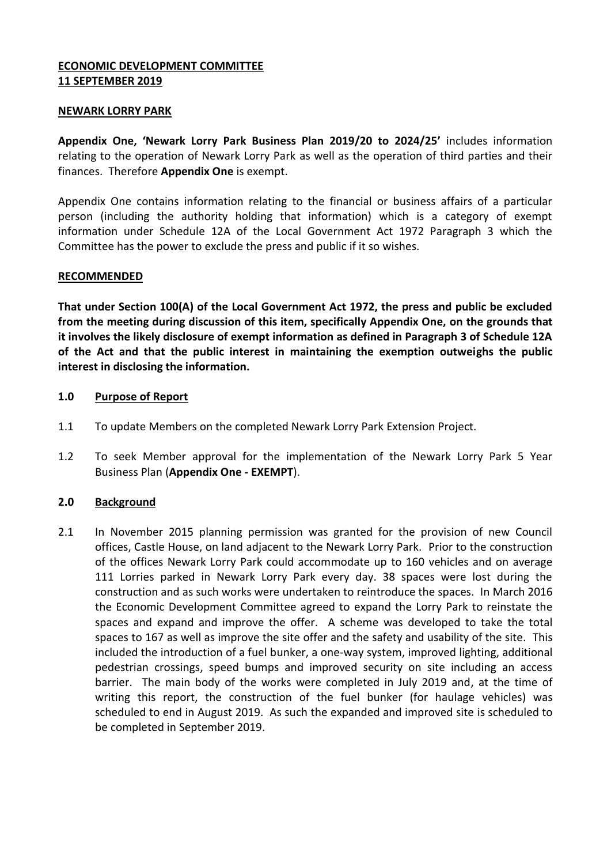### **ECONOMIC DEVELOPMENT COMMITTEE 11 SEPTEMBER 2019**

### **NEWARK LORRY PARK**

**Appendix One, 'Newark Lorry Park Business Plan 2019/20 to 2024/25'** includes information relating to the operation of Newark Lorry Park as well as the operation of third parties and their finances. Therefore **Appendix One** is exempt.

Appendix One contains information relating to the financial or business affairs of a particular person (including the authority holding that information) which is a category of exempt information under Schedule 12A of the Local Government Act 1972 Paragraph 3 which the Committee has the power to exclude the press and public if it so wishes.

#### **RECOMMENDED**

**That under Section 100(A) of the Local Government Act 1972, the press and public be excluded from the meeting during discussion of this item, specifically Appendix One, on the grounds that it involves the likely disclosure of exempt information as defined in Paragraph 3 of Schedule 12A of the Act and that the public interest in maintaining the exemption outweighs the public interest in disclosing the information.**

#### **1.0 Purpose of Report**

- 1.1 To update Members on the completed Newark Lorry Park Extension Project.
- 1.2 To seek Member approval for the implementation of the Newark Lorry Park 5 Year Business Plan (**Appendix One - EXEMPT**).

### **2.0 Background**

2.1 In November 2015 planning permission was granted for the provision of new Council offices, Castle House, on land adjacent to the Newark Lorry Park. Prior to the construction of the offices Newark Lorry Park could accommodate up to 160 vehicles and on average 111 Lorries parked in Newark Lorry Park every day. 38 spaces were lost during the construction and as such works were undertaken to reintroduce the spaces. In March 2016 the Economic Development Committee agreed to expand the Lorry Park to reinstate the spaces and expand and improve the offer. A scheme was developed to take the total spaces to 167 as well as improve the site offer and the safety and usability of the site. This included the introduction of a fuel bunker, a one-way system, improved lighting, additional pedestrian crossings, speed bumps and improved security on site including an access barrier. The main body of the works were completed in July 2019 and, at the time of writing this report, the construction of the fuel bunker (for haulage vehicles) was scheduled to end in August 2019. As such the expanded and improved site is scheduled to be completed in September 2019.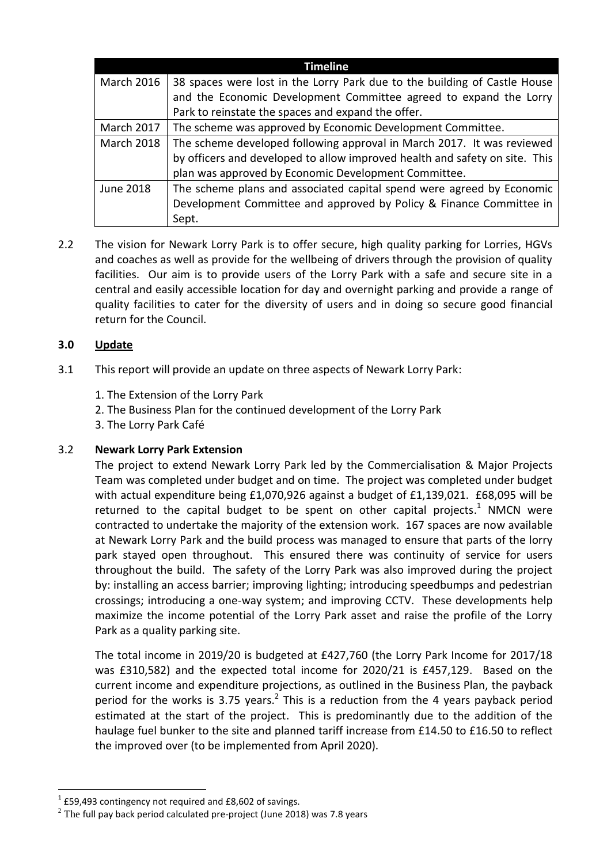|                   | <b>Timeline</b>                                                             |
|-------------------|-----------------------------------------------------------------------------|
| <b>March 2016</b> | 38 spaces were lost in the Lorry Park due to the building of Castle House   |
|                   | and the Economic Development Committee agreed to expand the Lorry           |
|                   | Park to reinstate the spaces and expand the offer.                          |
| <b>March 2017</b> | The scheme was approved by Economic Development Committee.                  |
| <b>March 2018</b> | The scheme developed following approval in March 2017. It was reviewed      |
|                   | by officers and developed to allow improved health and safety on site. This |
|                   | plan was approved by Economic Development Committee.                        |
| June 2018         | The scheme plans and associated capital spend were agreed by Economic       |
|                   | Development Committee and approved by Policy & Finance Committee in         |
|                   | Sept.                                                                       |

2.2 The vision for Newark Lorry Park is to offer secure, high quality parking for Lorries, HGVs and coaches as well as provide for the wellbeing of drivers through the provision of quality facilities. Our aim is to provide users of the Lorry Park with a safe and secure site in a central and easily accessible location for day and overnight parking and provide a range of quality facilities to cater for the diversity of users and in doing so secure good financial return for the Council.

# **3.0 Update**

- 3.1 This report will provide an update on three aspects of Newark Lorry Park:
	- 1. The Extension of the Lorry Park
	- 2. The Business Plan for the continued development of the Lorry Park
	- 3. The Lorry Park Café

# 3.2 **Newark Lorry Park Extension**

The project to extend Newark Lorry Park led by the Commercialisation & Major Projects Team was completed under budget and on time. The project was completed under budget with actual expenditure being £1,070,926 against a budget of £1,139,021. £68,095 will be returned to the capital budget to be spent on other capital projects. $1$  NMCN were contracted to undertake the majority of the extension work. 167 spaces are now available at Newark Lorry Park and the build process was managed to ensure that parts of the lorry park stayed open throughout. This ensured there was continuity of service for users throughout the build. The safety of the Lorry Park was also improved during the project by: installing an access barrier; improving lighting; introducing speedbumps and pedestrian crossings; introducing a one-way system; and improving CCTV. These developments help maximize the income potential of the Lorry Park asset and raise the profile of the Lorry Park as a quality parking site.

The total income in 2019/20 is budgeted at £427,760 (the Lorry Park Income for 2017/18 was £310,582) and the expected total income for 2020/21 is £457,129. Based on the current income and expenditure projections, as outlined in the Business Plan, the payback period for the works is 3.75 years. $^2$  This is a reduction from the 4 years payback period estimated at the start of the project. This is predominantly due to the addition of the haulage fuel bunker to the site and planned tariff increase from £14.50 to £16.50 to reflect the improved over (to be implemented from April 2020).

1

 $1$  £59,493 contingency not required and £8,602 of savings.

 $^{2}$  The full pay back period calculated pre-project (June 2018) was 7.8 years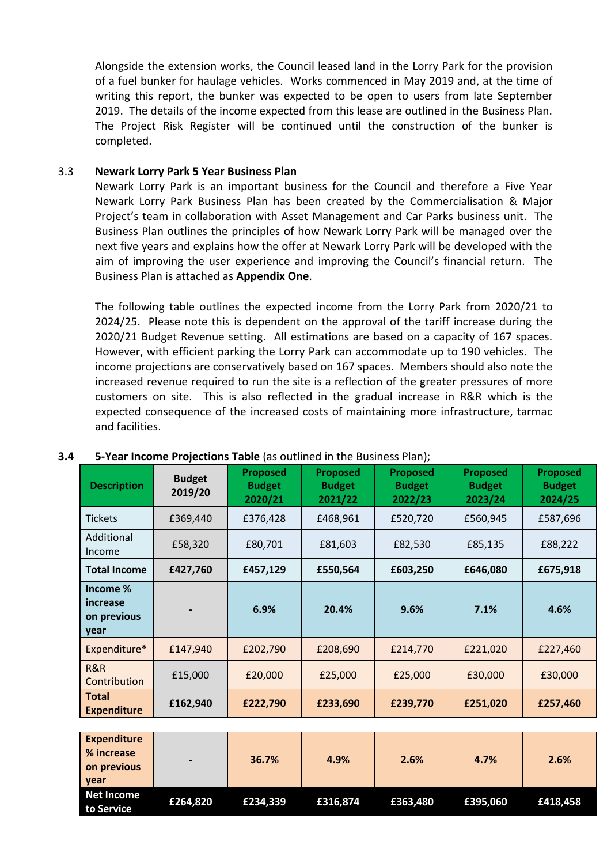Alongside the extension works, the Council leased land in the Lorry Park for the provision of a fuel bunker for haulage vehicles. Works commenced in May 2019 and, at the time of writing this report, the bunker was expected to be open to users from late September 2019. The details of the income expected from this lease are outlined in the Business Plan. The Project Risk Register will be continued until the construction of the bunker is completed.

### 3.3 **Newark Lorry Park 5 Year Business Plan**

Newark Lorry Park is an important business for the Council and therefore a Five Year Newark Lorry Park Business Plan has been created by the Commercialisation & Major Project's team in collaboration with Asset Management and Car Parks business unit. The Business Plan outlines the principles of how Newark Lorry Park will be managed over the next five years and explains how the offer at Newark Lorry Park will be developed with the aim of improving the user experience and improving the Council's financial return. The Business Plan is attached as **Appendix One**.

The following table outlines the expected income from the Lorry Park from 2020/21 to 2024/25. Please note this is dependent on the approval of the tariff increase during the 2020/21 Budget Revenue setting. All estimations are based on a capacity of 167 spaces. However, with efficient parking the Lorry Park can accommodate up to 190 vehicles. The income projections are conservatively based on 167 spaces. Members should also note the increased revenue required to run the site is a reflection of the greater pressures of more customers on site. This is also reflected in the gradual increase in R&R which is the expected consequence of the increased costs of maintaining more infrastructure, tarmac and facilities.

| <b>Description</b>                          | <b>Budget</b><br>2019/20 | <b>Proposed</b><br><b>Budget</b><br>2020/21 | <b>Proposed</b><br><b>Budget</b><br>2021/22 | <b>Proposed</b><br><b>Budget</b><br>2022/23 | <b>Proposed</b><br><b>Budget</b><br>2023/24 | <b>Proposed</b><br><b>Budget</b><br>2024/25 |
|---------------------------------------------|--------------------------|---------------------------------------------|---------------------------------------------|---------------------------------------------|---------------------------------------------|---------------------------------------------|
| Tickets                                     | £369,440                 | £376,428                                    | £468,961                                    | £520,720                                    | £560,945                                    | £587,696                                    |
| Additional<br>Income                        | £58,320                  | £80,701                                     | £81,603                                     | £82,530                                     | £85,135                                     | £88,222                                     |
| <b>Total Income</b>                         | £427,760                 | £457,129                                    | £550,564                                    | £603,250                                    | £646,080                                    | £675,918                                    |
| Income %<br>increase<br>on previous<br>year |                          | 6.9%                                        | 20.4%                                       | 9.6%                                        | 7.1%                                        | 4.6%                                        |
| Expenditure*                                | £147,940                 | £202,790                                    | £208,690                                    | £214,770                                    | £221,020                                    | £227,460                                    |
| R&R<br>Contribution                         | £15,000                  | £20,000                                     | £25,000                                     | £25,000                                     | £30,000                                     | £30,000                                     |
| <b>Total</b><br><b>Expenditure</b>          | £162,940                 | £222,790                                    | £233,690                                    | £239,770                                    | £251,020                                    | £257,460                                    |
|                                             |                          |                                             |                                             |                                             |                                             |                                             |
| <b>Expenditure</b>                          |                          |                                             |                                             |                                             |                                             |                                             |

#### **3.4 5-Year Income Projections Table** (as outlined in the Business Plan);

| <b>Expenditure</b><br>% increase<br>on previous<br><b>vear</b> | $\overline{\phantom{0}}$ | 36.7%    | 4.9%     | 2.6%     | 4.7%     | 2.6%     |
|----------------------------------------------------------------|--------------------------|----------|----------|----------|----------|----------|
| <b>Net Income</b><br>to Service                                | £264,820                 | £234,339 | £316,874 | £363.480 | £395.060 | £418,458 |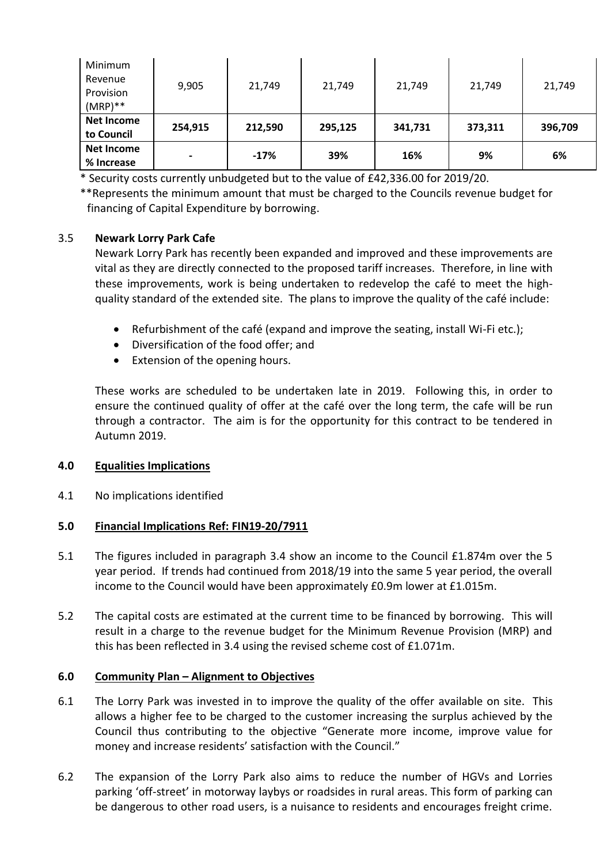| Minimum<br>Revenue<br>Provision<br>$(MRP)**$ | 9,905           | 21,749  | 21,749  | 21,749  | 21,749  | 21,749  |
|----------------------------------------------|-----------------|---------|---------|---------|---------|---------|
| <b>Net Income</b><br>to Council              | 254,915         | 212,590 | 295,125 | 341,731 | 373,311 | 396,709 |
| <b>Net Income</b><br>% Increase              | $\qquad \qquad$ | $-17%$  | 39%     | 16%     | 9%      | 6%      |

\* Security costs currently unbudgeted but to the value of £42,336.00 for 2019/20.

\*\*Represents the minimum amount that must be charged to the Councils revenue budget for financing of Capital Expenditure by borrowing.

## 3.5 **Newark Lorry Park Cafe**

Newark Lorry Park has recently been expanded and improved and these improvements are vital as they are directly connected to the proposed tariff increases. Therefore, in line with these improvements, work is being undertaken to redevelop the café to meet the highquality standard of the extended site. The plans to improve the quality of the café include:

- Refurbishment of the café (expand and improve the seating, install Wi-Fi etc.);
- Diversification of the food offer; and
- Extension of the opening hours.

These works are scheduled to be undertaken late in 2019. Following this, in order to ensure the continued quality of offer at the café over the long term, the cafe will be run through a contractor. The aim is for the opportunity for this contract to be tendered in Autumn 2019.

# **4.0 Equalities Implications**

4.1 No implications identified

### **5.0 Financial Implications Ref: FIN19-20/7911**

- 5.1 The figures included in paragraph 3.4 show an income to the Council £1.874m over the 5 year period. If trends had continued from 2018/19 into the same 5 year period, the overall income to the Council would have been approximately £0.9m lower at £1.015m.
- 5.2 The capital costs are estimated at the current time to be financed by borrowing. This will result in a charge to the revenue budget for the Minimum Revenue Provision (MRP) and this has been reflected in 3.4 using the revised scheme cost of £1.071m.

### **6.0 Community Plan – Alignment to Objectives**

- 6.1 The Lorry Park was invested in to improve the quality of the offer available on site. This allows a higher fee to be charged to the customer increasing the surplus achieved by the Council thus contributing to the objective "Generate more income, improve value for money and increase residents' satisfaction with the Council."
- 6.2 The expansion of the Lorry Park also aims to reduce the number of HGVs and Lorries parking 'off-street' in motorway laybys or roadsides in rural areas. This form of parking can be dangerous to other road users, is a nuisance to residents and encourages freight crime.